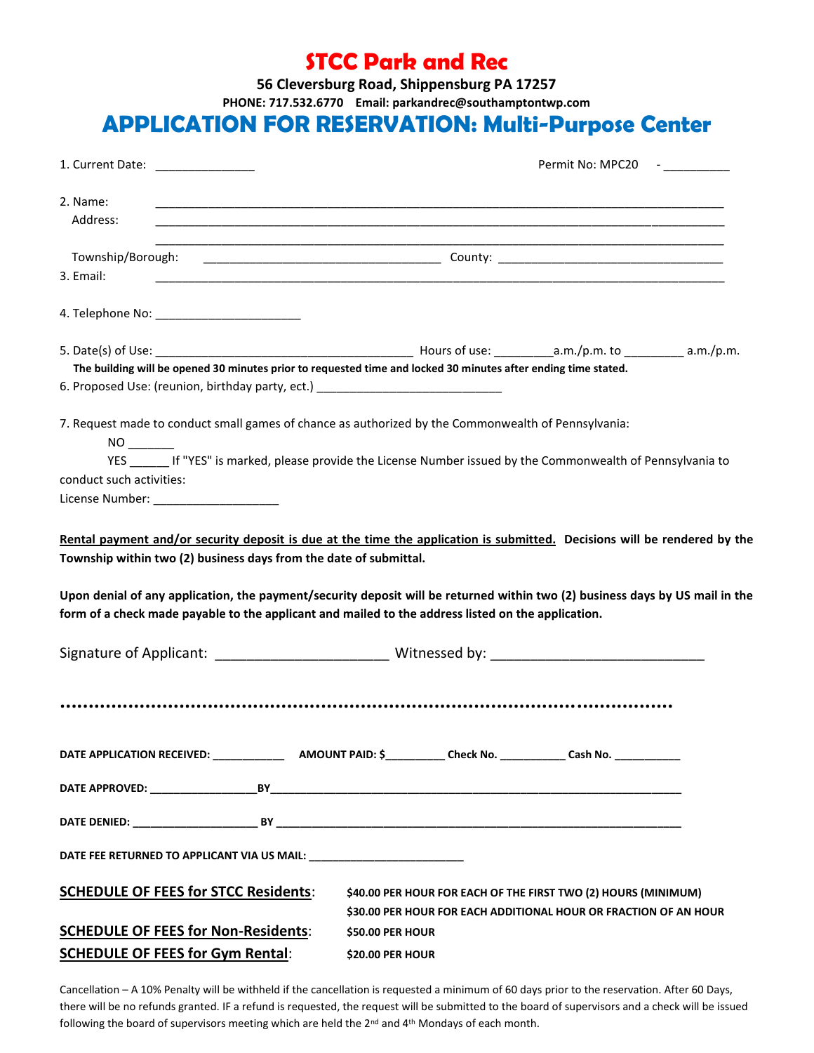### **STCC Park and Rec**

**56 Cleversburg Road, Shippensburg PA 17257**

**PHONE: 717.532.6770 Email: parkandrec@southamptontwp.com**

## APPLICATION FOR RESERVATION: **Multi-Purpose Center**

| 1. Current Date: <u>______________</u>                                                                                                                                                                                                                                                                                                                                                                                               | Permit No: MPC20 -                                                                                                                                                                                                                             |  |  |
|--------------------------------------------------------------------------------------------------------------------------------------------------------------------------------------------------------------------------------------------------------------------------------------------------------------------------------------------------------------------------------------------------------------------------------------|------------------------------------------------------------------------------------------------------------------------------------------------------------------------------------------------------------------------------------------------|--|--|
| 2. Name:<br>Address:                                                                                                                                                                                                                                                                                                                                                                                                                 | <u> 1989 - Johann Barn, mars ann an t-Amhainn an t-Amhainn an t-Amhainn an t-Amhainn an t-Amhainn an t-Amhainn an</u><br><u> 1989 - Johann Harry Harry Harry Harry Harry Harry Harry Harry Harry Harry Harry Harry Harry Harry Harry Harry</u> |  |  |
| Township/Borough:<br>3. Email:                                                                                                                                                                                                                                                                                                                                                                                                       |                                                                                                                                                                                                                                                |  |  |
|                                                                                                                                                                                                                                                                                                                                                                                                                                      |                                                                                                                                                                                                                                                |  |  |
| The building will be opened 30 minutes prior to requested time and locked 30 minutes after ending time stated.<br>6. Proposed Use: (reunion, birthday party, ect.) _______________________________                                                                                                                                                                                                                                   |                                                                                                                                                                                                                                                |  |  |
| 7. Request made to conduct small games of chance as authorized by the Commonwealth of Pennsylvania:<br>YES If "YES" is marked, please provide the License Number issued by the Commonwealth of Pennsylvania to<br>conduct such activities:                                                                                                                                                                                           |                                                                                                                                                                                                                                                |  |  |
| License Number: ______________________                                                                                                                                                                                                                                                                                                                                                                                               |                                                                                                                                                                                                                                                |  |  |
| Rental payment and/or security deposit is due at the time the application is submitted. Decisions will be rendered by the<br>Township within two (2) business days from the date of submittal.<br>Upon denial of any application, the payment/security deposit will be returned within two (2) business days by US mail in the<br>form of a check made payable to the applicant and mailed to the address listed on the application. |                                                                                                                                                                                                                                                |  |  |
| Signature of Applicant: _________________________________Witnessed by: _____________________________                                                                                                                                                                                                                                                                                                                                 |                                                                                                                                                                                                                                                |  |  |
|                                                                                                                                                                                                                                                                                                                                                                                                                                      |                                                                                                                                                                                                                                                |  |  |
|                                                                                                                                                                                                                                                                                                                                                                                                                                      |                                                                                                                                                                                                                                                |  |  |
|                                                                                                                                                                                                                                                                                                                                                                                                                                      |                                                                                                                                                                                                                                                |  |  |
|                                                                                                                                                                                                                                                                                                                                                                                                                                      |                                                                                                                                                                                                                                                |  |  |
|                                                                                                                                                                                                                                                                                                                                                                                                                                      |                                                                                                                                                                                                                                                |  |  |
| <b>SCHEDULE OF FEES for STCC Residents:</b>                                                                                                                                                                                                                                                                                                                                                                                          | \$40.00 PER HOUR FOR EACH OF THE FIRST TWO (2) HOURS (MINIMUM)<br>\$30.00 PER HOUR FOR EACH ADDITIONAL HOUR OR FRACTION OF AN HOUR                                                                                                             |  |  |
| <b>SCHEDULE OF FEES for Non-Residents:</b><br><b>SCHEDULE OF FEES for Gym Rental:</b>                                                                                                                                                                                                                                                                                                                                                | \$50.00 PER HOUR<br><b>\$20.00 PER HOUR</b>                                                                                                                                                                                                    |  |  |

Cancellation – A 10% Penalty will be withheld if the cancellation is requested a minimum of 60 days prior to the reservation. After 60 Days, there will be no refunds granted. IF a refund is requested, the request will be submitted to the board of supervisors and a check will be issued following the board of supervisors meeting which are held the 2<sup>nd</sup> and 4<sup>th</sup> Mondays of each month.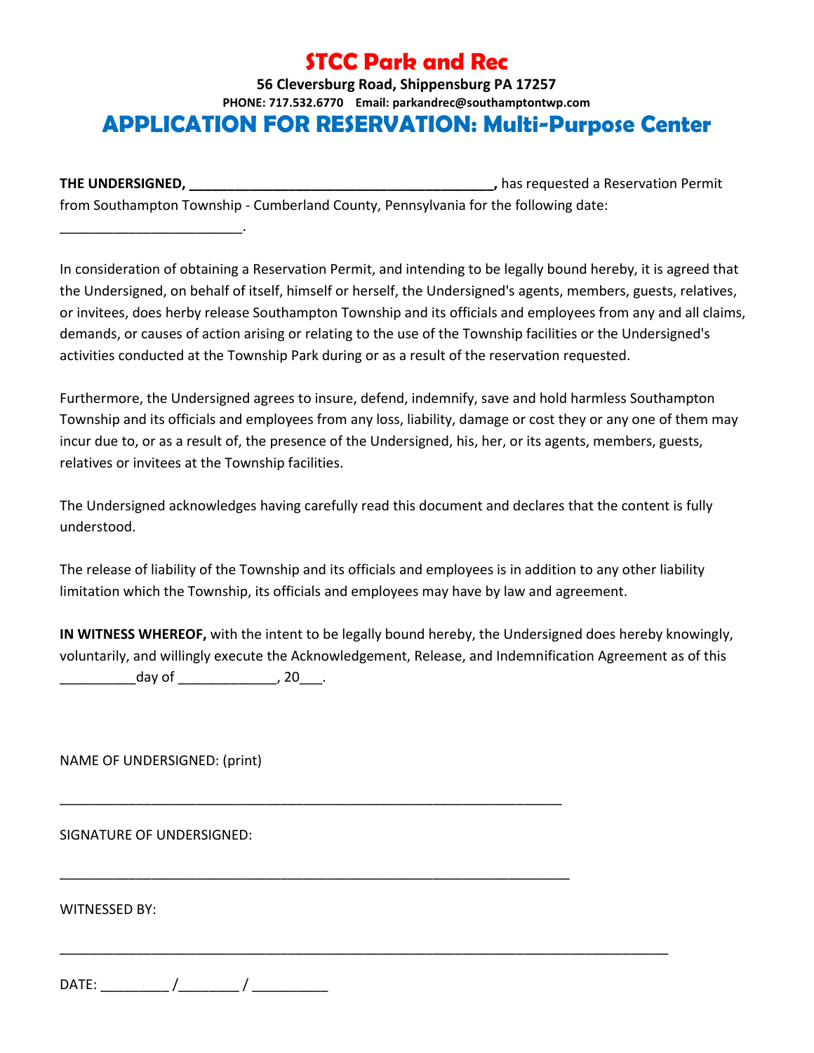# **STCC Park and Rec**

#### **56 Cleversburg Road, Shippensburg PA 17257 PHONE: 717.532.6770 Email: parkandrec@southamptontwp.com** APPLICATION FOR RESERVATION: **Multi-Purpose Center**

**THE UNDERSIGNED, THE UNDERSIGNED, Alternation Permit decision of the servation Permit** from Southampton Township - Cumberland County, Pennsylvania for the following date:

In consideration of obtaining a Reservation Permit, and intending to be legally bound hereby, it is agreed that the Undersigned, on behalf of itself, himself or herself, the Undersigned's agents, members, guests, relatives, or invitees, does herby release Southampton Township and its officials and employees from any and all claims, demands, or causes of action arising or relating to the use of the Township facilities or the Undersigned's activities conducted at the Township Park during or as a result of the reservation requested.

Furthermore, the Undersigned agrees to insure, defend, indemnify, save and hold harmless Southampton Township and its officials and employees from any loss, liability, damage or cost they or any one of them may incur due to, or as a result of, the presence of the Undersigned, his, her, or its agents, members, guests, relatives or invitees at the Township facilities.

The Undersigned acknowledges having carefully read this document and declares that the content is fully understood.

The release of liability of the Township and its officials and employees is in addition to any other liability limitation which the Township, its officials and employees may have by law and agreement.

**IN WITNESS WHEREOF,** with the intent to be legally bound hereby, the Undersigned does hereby knowingly, voluntarily, and willingly execute the Acknowledgement, Release, and Indemnification Agreement as of this \_\_\_\_\_\_\_\_\_\_day of \_\_\_\_\_\_\_\_\_\_\_\_\_, 20\_\_\_.

\_\_\_\_\_\_\_\_\_\_\_\_\_\_\_\_\_\_\_\_\_\_\_\_\_\_\_\_\_\_\_\_\_\_\_\_\_\_\_\_\_\_\_\_\_\_\_\_\_\_\_\_\_\_\_\_\_\_\_\_\_\_\_\_\_\_

\_\_\_\_\_\_\_\_\_\_\_\_\_\_\_\_\_\_\_\_\_\_\_\_\_\_\_\_\_\_\_\_\_\_\_\_\_\_\_\_\_\_\_\_\_\_\_\_\_\_\_\_\_\_\_\_\_\_\_\_\_\_\_\_\_\_\_

\_\_\_\_\_\_\_\_\_\_\_\_\_\_\_\_\_\_\_\_\_\_\_\_\_\_\_\_\_\_\_\_\_\_\_\_\_\_\_\_\_\_\_\_\_\_\_\_\_\_\_\_\_\_\_\_\_\_\_\_\_\_\_\_\_\_\_\_\_\_\_\_\_\_\_\_\_\_\_\_

NAME OF UNDERSIGNED: (print)

\_\_\_\_\_\_\_\_\_\_\_\_\_\_\_\_\_\_\_\_\_\_\_\_.

SIGNATURE OF UNDERSIGNED:

WITNESSED BY:

DATE: \_\_\_\_\_\_\_\_\_ /\_\_\_\_\_\_\_\_ / \_\_\_\_\_\_\_\_\_\_